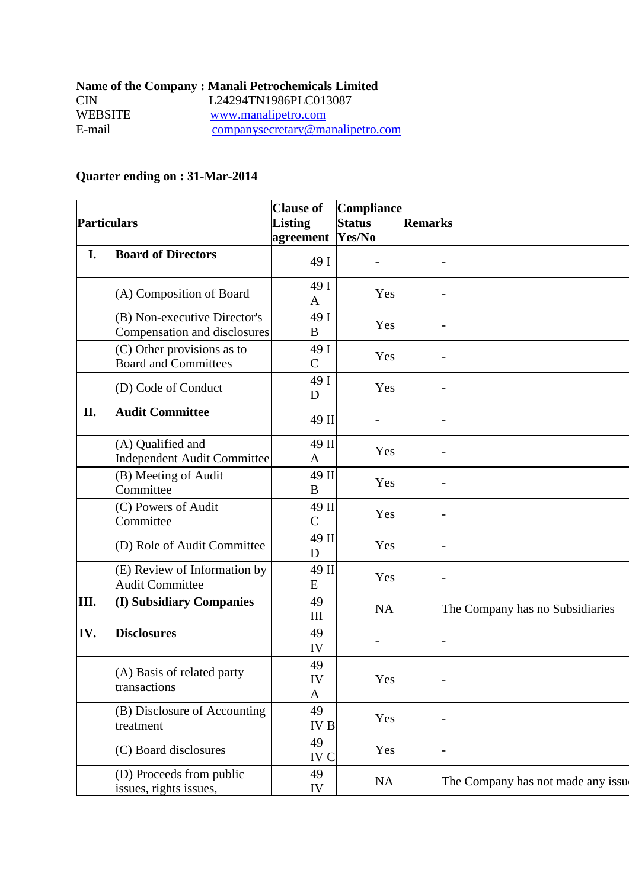|         | <b>Name of the Company: Manali Petrochemicals Limited</b> |
|---------|-----------------------------------------------------------|
| CIN.    | L24294TN1986PLC013087                                     |
| WEBSITE | www.manalipetro.com                                       |
| E-mail  | companysecretary@manalipetro.com                          |

## **Quarter ending on : 31-Mar-2014**

| <b>Particulars</b> |                                                              | <b>Clause of</b><br><b>Listing</b><br>agreement | Compliance<br><b>Status</b><br>Yes/No | <b>Remarks</b>                     |
|--------------------|--------------------------------------------------------------|-------------------------------------------------|---------------------------------------|------------------------------------|
| I.                 | <b>Board of Directors</b>                                    | 49 I                                            |                                       |                                    |
|                    | (A) Composition of Board                                     | 49 I<br>A                                       | Yes                                   |                                    |
|                    | (B) Non-executive Director's<br>Compensation and disclosures | 49 I<br>B                                       | Yes                                   |                                    |
|                    | (C) Other provisions as to<br><b>Board and Committees</b>    | 49 I<br>$\mathcal{C}$                           | Yes                                   |                                    |
|                    | (D) Code of Conduct                                          | 49 I<br>D                                       | Yes                                   |                                    |
| II.                | <b>Audit Committee</b>                                       | 49 II                                           |                                       |                                    |
|                    | (A) Qualified and<br><b>Independent Audit Committee</b>      | 49 II<br>A                                      | Yes                                   |                                    |
|                    | (B) Meeting of Audit<br>Committee                            | 49 II<br>$\bf{B}$                               | Yes                                   |                                    |
|                    | (C) Powers of Audit<br>Committee                             | 49 II<br>$\mathcal{C}$                          | Yes                                   |                                    |
|                    | (D) Role of Audit Committee                                  | 49 II<br>D                                      | Yes                                   |                                    |
|                    | (E) Review of Information by<br><b>Audit Committee</b>       | 49 II<br>${\bf E}$                              | Yes                                   |                                    |
| III.               | (I) Subsidiary Companies                                     | 49<br>$\mathop{\rm III}$                        | <b>NA</b>                             | The Company has no Subsidiaries    |
| IV.                | <b>Disclosures</b>                                           | 49<br>IV                                        |                                       |                                    |
|                    | (A) Basis of related party<br>transactions                   | 49<br>IV<br>A                                   | Yes                                   |                                    |
|                    | (B) Disclosure of Accounting<br>treatment                    | 49<br><b>IVB</b>                                | Yes                                   |                                    |
|                    | (C) Board disclosures                                        | 49<br>IV C                                      | Yes                                   |                                    |
|                    | (D) Proceeds from public<br>issues, rights issues,           | 49<br>IV                                        | NA                                    | The Company has not made any issue |